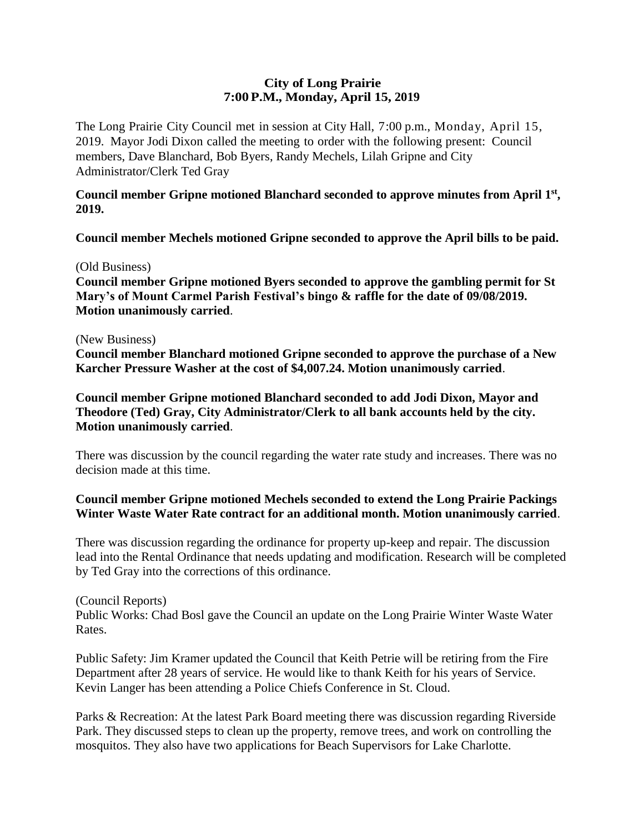# **City of Long Prairie 7:00P.M., Monday, April 15, 2019**

The Long Prairie City Council met in session at City Hall, 7:00 p.m., Monday, April 15, 2019. Mayor Jodi Dixon called the meeting to order with the following present: Council members, Dave Blanchard, Bob Byers, Randy Mechels, Lilah Gripne and City Administrator/Clerk Ted Gray

## **Council member Gripne motioned Blanchard seconded to approve minutes from April 1st , 2019.**

**Council member Mechels motioned Gripne seconded to approve the April bills to be paid.** 

### (Old Business)

**Council member Gripne motioned Byers seconded to approve the gambling permit for St Mary's of Mount Carmel Parish Festival's bingo & raffle for the date of 09/08/2019. Motion unanimously carried**.

#### (New Business)

**Council member Blanchard motioned Gripne seconded to approve the purchase of a New Karcher Pressure Washer at the cost of \$4,007.24. Motion unanimously carried**.

**Council member Gripne motioned Blanchard seconded to add Jodi Dixon, Mayor and Theodore (Ted) Gray, City Administrator/Clerk to all bank accounts held by the city. Motion unanimously carried**.

There was discussion by the council regarding the water rate study and increases. There was no decision made at this time.

## **Council member Gripne motioned Mechels seconded to extend the Long Prairie Packings Winter Waste Water Rate contract for an additional month. Motion unanimously carried**.

There was discussion regarding the ordinance for property up-keep and repair. The discussion lead into the Rental Ordinance that needs updating and modification. Research will be completed by Ted Gray into the corrections of this ordinance.

### (Council Reports)

Public Works: Chad Bosl gave the Council an update on the Long Prairie Winter Waste Water Rates.

Public Safety: Jim Kramer updated the Council that Keith Petrie will be retiring from the Fire Department after 28 years of service. He would like to thank Keith for his years of Service. Kevin Langer has been attending a Police Chiefs Conference in St. Cloud.

Parks & Recreation: At the latest Park Board meeting there was discussion regarding Riverside Park. They discussed steps to clean up the property, remove trees, and work on controlling the mosquitos. They also have two applications for Beach Supervisors for Lake Charlotte.